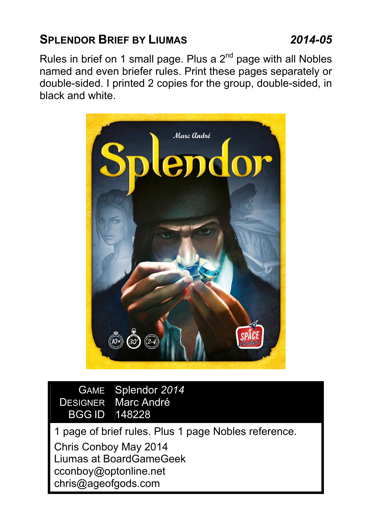# SPLENDOR BRIEF BY LIUMAS 2014-05

Rules in brief on 1 small page. Plus a  $2<sup>nd</sup>$  page with all Nobles named and even briefer rules. Print these pages separately or double-sided. I printed 2 copies for the group, double-sided, in black and white.



GAME Splendor 2014 DESIGNER Marc André BGG ID 148228

1 page of brief rules. Plus 1 page Nobles reference. Chris Conboy May 2014 Liumas at BoardGameGeek cconboy@optonline.net chris@ageofgods.com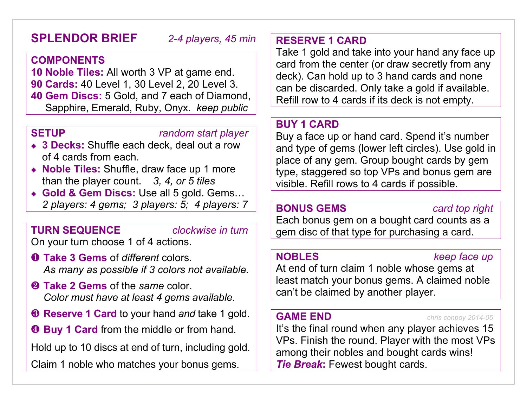# SPLENDOR BRIEF 2-4 players, 45 min

## COMPONENTS

10 Noble Tiles: All worth 3 VP at game end. 90 Cards: 40 Level 1, 30 Level 2, 20 Level 3. 40 Gem Discs: 5 Gold, and 7 each of Diamond, Sapphire, Emerald, Ruby, Onyx. keep public

### SETUP random start player

- ◆ 3 Decks: Shuffle each deck, deal out a row of 4 cards from each.
- ◆ Noble Tiles: Shuffle, draw face up 1 more than the player count.  $3, 4, or 5$  tiles
- ◆ Gold & Gem Discs: Use all 5 gold. Gems... 2 players: 4 gems; 3 players: 5; 4 players: 7

## **TURN SEQUENCE** *clockwise in turn*

On your turn choose 1 of 4 actions.

- **O** Take 3 Gems of different colors. As many as possible if 3 colors not available.
- **2** Take 2 Gems of the same color. Color must have at least 4 gems available.
- ❸ Reserve 1 Card to your hand and take 1 gold.
- $\Theta$  **Buy 1 Card from the middle or from hand.**

Hold up to 10 discs at end of turn, including gold.

Claim 1 noble who matches your bonus gems.

## RESERVE 1 CARD

Take 1 gold and take into your hand any face up card from the center (or draw secretly from any deck). Can hold up to 3 hand cards and none can be discarded. Only take a gold if available. Refill row to 4 cards if its deck is not empty.

## BUY 1 CARD

Buy a face up or hand card. Spend it's number and type of gems (lower left circles). Use gold in place of any gem. Group bought cards by gem type, staggered so top VPs and bonus gem are visible. Refill rows to 4 cards if possible.

## BONUS GEMS card top right

Each bonus gem on a bought card counts as a gem disc of that type for purchasing a card.

### NOBLES keep face up

At end of turn claim 1 noble whose gems at least match your bonus gems. A claimed noble can't be claimed by another player.

GAME END chris conboy 2014-05

It's the final round when any player achieves 15 VPs. Finish the round. Player with the most VPs among their nobles and bought cards wins! **Tie Break: Fewest bought cards.**